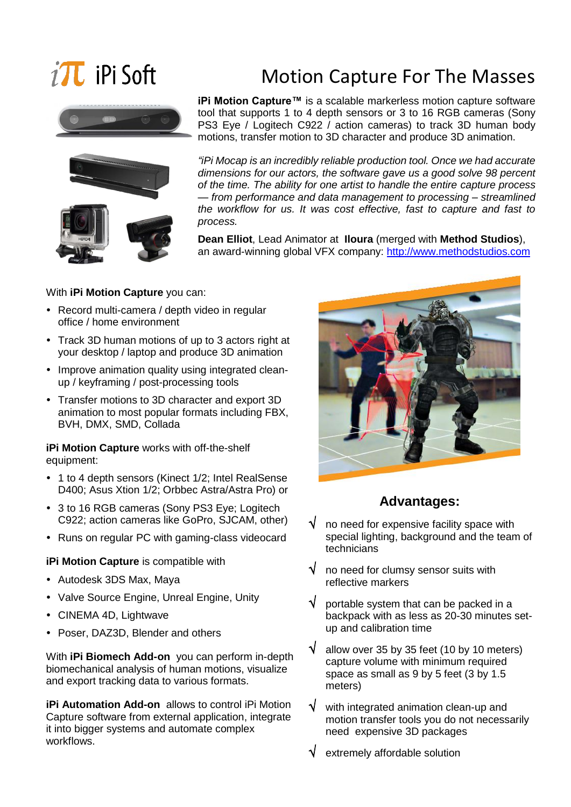# $i$ **T** iPi Soft





## Motion Capture For The Masses

**iPi Motion Capture™** is a scalable markerless motion capture software tool that supports 1 to 4 depth sensors or 3 to 16 RGB cameras (Sony PS3 Eye / Logitech C922 / action cameras) to track 3D human body motions, transfer motion to 3D character and produce 3D animation.

*"iPi Mocap is an incredibly reliable production tool. Once we had accurate dimensions for our actors, the software gave us a good solve 98 percent of the time. The ability for one artist to handle the entire capture process — from performance and data management to processing – streamlined the workflow for us. It was cost effective, fast to capture and fast to process.*

**Dean Elliot**, Lead Animator at **Iloura** (merged with **Method Studios**), an award-winning global VFX company: [http://www.methodstudios.com](http://www.methodstudios.com/)

### With **iPi Motion Capture** you can:

- Record multi-camera / depth video in regular office / home environment
- Track 3D human motions of up to 3 actors right at your desktop / laptop and produce 3D animation
- Improve animation quality using integrated cleanup / keyframing / post-processing tools
- Transfer motions to 3D character and export 3D animation to most popular formats including FBX, BVH, DMX, SMD, Collada

**iPi Motion Capture** works with off-the-shelf equipment:

- 1 to 4 depth sensors (Kinect 1/2; Intel RealSense D400; Asus Xtion 1/2; Orbbec Astra/Astra Pro) or
- 3 to 16 RGB cameras (Sony PS3 Eye; Logitech C922; action cameras like GoPro, SJCAM, other)
- Runs on regular PC with gaming-class videocard

### **iPi Motion Capture** is compatible with

- Autodesk 3DS Max, Maya
- Valve Source Engine, Unreal Engine, Unity
- CINEMA 4D, Lightwave
- Poser, DAZ3D, Blender and others

With **iPi Biomech Add-on** you can perform in-depth biomechanical analysis of human motions, visualize and export tracking data to various formats.

**iPi Automation Add-on** allows to control iPi Motion Capture software from external application, integrate it into bigger systems and automate complex workflows.



### **Advantages:**

- no need for expensive facility space with special lighting, background and the team of technicians
- $\sqrt{\phantom{a}}$  no need for clumsy sensor suits with reflective markers
- $\sqrt{\phantom{a}}$  portable system that can be packed in a backpack with as less as 20-30 minutes setup and calibration time
- $\sqrt{\phantom{a}}$  allow over 35 by 35 feet (10 by 10 meters) capture volume with minimum required space as small as 9 by 5 feet (3 by 1.5 meters)
- $\sqrt{\phantom{a}}$  with integrated animation clean-up and motion transfer tools you do not necessarily need expensive 3D packages
- extremely affordable solution